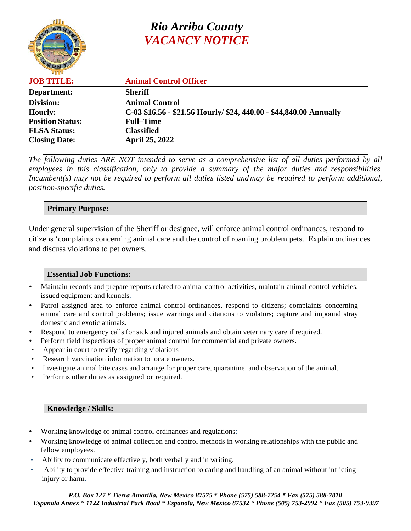

# *Rio Arriba County VACANCY NOTICE*

| <b>JOB TITLE:</b>       | <b>Animal Control Officer</b>                                      |
|-------------------------|--------------------------------------------------------------------|
| Department:             | <b>Sheriff</b>                                                     |
| Division:               | <b>Animal Control</b>                                              |
| <b>Hourly:</b>          | C-03 \$16.56 - \$21.56 Hourly/ \$24, 440.00 - \$44,840.00 Annually |
| <b>Position Status:</b> | <b>Full–Time</b>                                                   |
| <b>FLSA Status:</b>     | <b>Classified</b>                                                  |
| <b>Closing Date:</b>    | <b>April 25, 2022</b>                                              |
|                         |                                                                    |

*The following duties ARE NOT intended to serve as a comprehensive list of all duties performed by all employees in this classification, only to provide a summary of the major duties and responsibilities. Incumbent(s) may not be required to perform all duties listed and may be required to perform additional, position-specific duties.*

## **Primary Purpose:**

Under general supervision of the Sheriff or designee, will enforce animal control ordinances, respond to citizens 'complaints concerning animal care and the control of roaming problem pets. Explain ordinances and discuss violations to pet owners.

## **Essential Job Functions:**

- Maintain records and prepare reports related to animal control activities, maintain animal control vehicles, issued equipment and kennels.
- Patrol assigned area to enforce animal control ordinances, respond to citizens; complaints concerning animal care and control problems; issue warnings and citations to violators; capture and impound stray domestic and exotic animals.
- Respond to emergency calls for sick and injured animals and obtain veterinary care if required.
- Perform field inspections of proper animal control for commercial and private owners.
- Appear in court to testify regarding violations
- Research vaccination information to locate owners.
- Investigate animal bite cases and arrange for proper care, quarantine, and observation of the animal.
- Performs other duties as assigned or required.

#### **Knowledge / Skills:**

- Working knowledge of animal control ordinances and regulations;
- Working knowledge of animal collection and control methods in working relationships with the public and fellow employees.
- Ability to communicate effectively, both verbally and in writing.
- Ability to provide effective training and instruction to caring and handling of an animal without inflicting injury or harm.